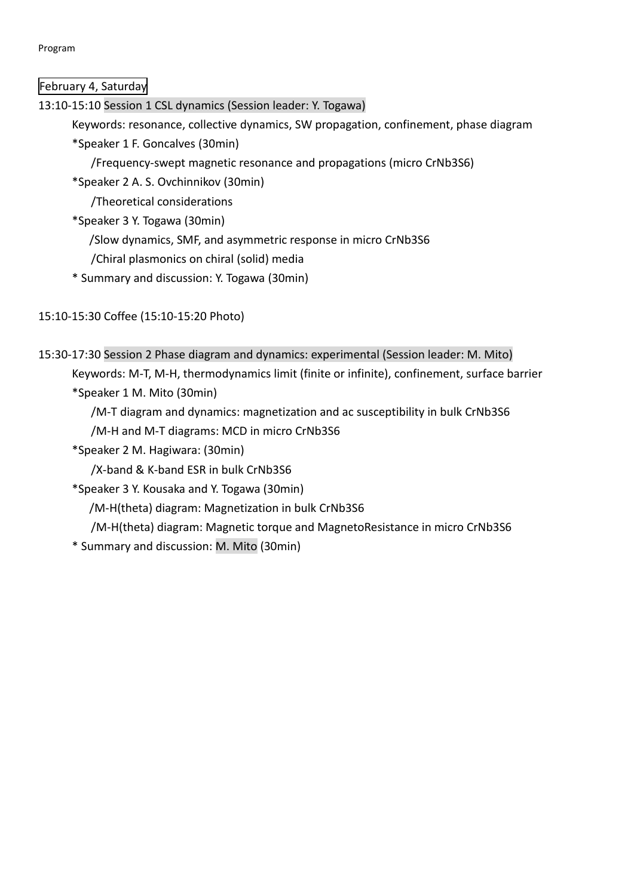Program

February 4, Saturday

13:10-15:10 Session 1 CSL dynamics (Session leader: Y. Togawa)

Keywords: resonance, collective dynamics, SW propagation, confinement, phase diagram

\*Speaker 1 F. Goncalves (30min)

/Frequency-swept magnetic resonance and propagations (micro CrNb3S6)

\*Speaker 2 A. S. Ovchinnikov (30min)

/Theoretical considerations

- \*Speaker 3 Y. Togawa (30min)
	- /Slow dynamics, SMF, and asymmetric response in micro CrNb3S6
	- /Chiral plasmonics on chiral (solid) media
- \* Summary and discussion: Y. Togawa (30min)

15:10-15:30 Coffee (15:10-15:20 Photo)

```
15:30-17:30 Session 2 Phase diagram and dynamics: experimental (Session leader: M. Mito)
Keywords: M-T, M-H, thermodynamics limit (finite or infinite), confinement, surface barrier
*Speaker 1 M. Mito (30min)
```
/M-T diagram and dynamics: magnetization and ac susceptibility in bulk CrNb3S6 /M-H and M-T diagrams: MCD in micro CrNb3S6

\*Speaker 2 M. Hagiwara: (30min)

/X-band & K-band ESR in bulk CrNb3S6

- \*Speaker 3 Y. Kousaka and Y. Togawa (30min)
	- /M-H(theta) diagram: Magnetization in bulk CrNb3S6

/M-H(theta) diagram: Magnetic torque and MagnetoResistance in micro CrNb3S6

\* Summary and discussion: M. Mito (30min)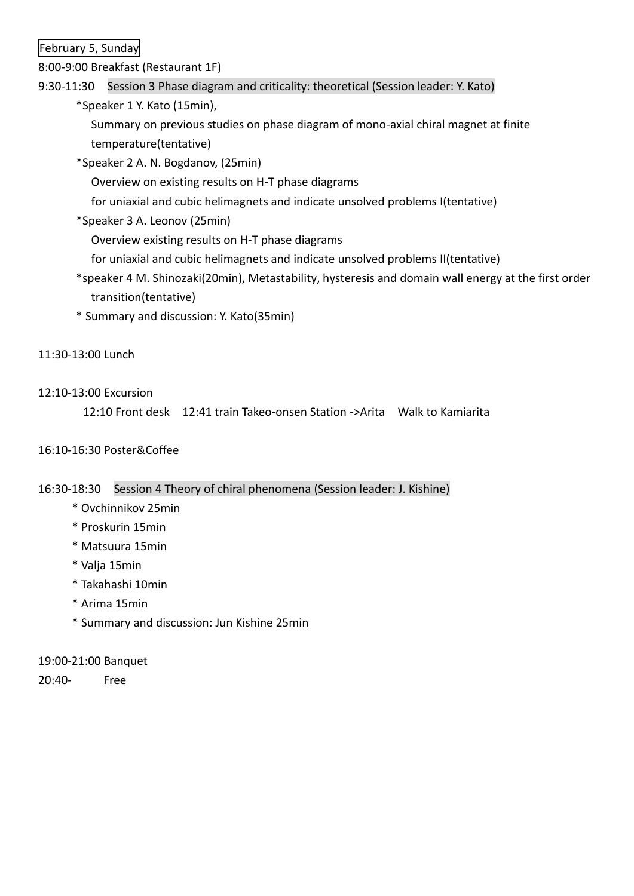February 5, Sunday

8:00-9:00 Breakfast (Restaurant 1F)

## 9:30-11:30 Session 3 Phase diagram and criticality: theoretical (Session leader: Y. Kato)

\*Speaker 1 Y. Kato (15min),

Summary on previous studies on phase diagram of mono-axial chiral magnet at finite temperature(tentative)

\*Speaker 2 A. N. Bogdanov, (25min)

Overview on existing results on H-T phase diagrams

for uniaxial and cubic helimagnets and indicate unsolved problems I(tentative)

\*Speaker 3 A. Leonov (25min)

Overview existing results on H-T phase diagrams

- for uniaxial and cubic helimagnets and indicate unsolved problems II(tentative)
- \*speaker 4 M. Shinozaki(20min), Metastability, hysteresis and domain wall energy at the first order transition(tentative)
- \* Summary and discussion: Y. Kato(35min)

### 11:30-13:00 Lunch

### 12:10-13:00 Excursion

12:10 Front desk 12:41 train Takeo-onsen Station ->Arita Walk to Kamiarita

### 16:10-16:30 Poster&Coffee

### 16:30-18:30 Session 4 Theory of chiral phenomena (Session leader: J. Kishine)

- \* Ovchinnikov 25min
- \* Proskurin 15min
- \* Matsuura 15min
- \* Valja 15min
- \* Takahashi 10min
- \* Arima 15min
- \* Summary and discussion: Jun Kishine 25min

### 19:00-21:00 Banquet

20:40- Free